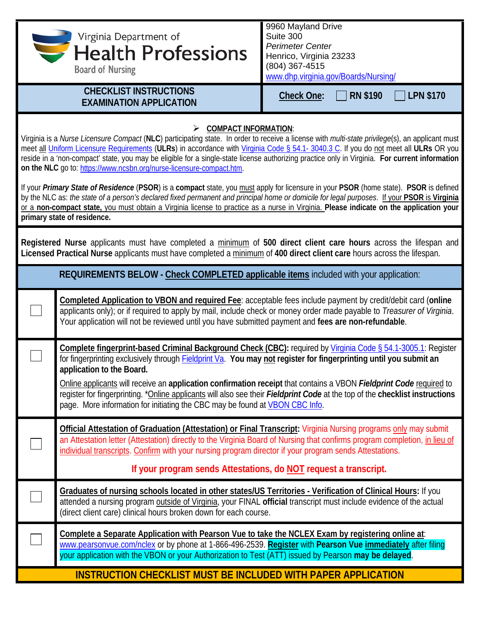|                                                                                                                                                                                                                                                                                                                                                                                                                                                                                                                                                                                                                                                                                                                                                                                                                                                                                                                                                                                                                       | Virginia Department of<br><b>Health Professions</b><br><b>Board of Nursing</b>                                                                                                                                                                                                                                                                                                                                                                                                                                                                                                                                | 9960 Mayland Drive<br>Suite 300<br><b>Perimeter Center</b><br>Henrico, Virginia 23233<br>(804) 367-4515<br>www.dhp.virginia.gov/Boards/Nursing/ |  |
|-----------------------------------------------------------------------------------------------------------------------------------------------------------------------------------------------------------------------------------------------------------------------------------------------------------------------------------------------------------------------------------------------------------------------------------------------------------------------------------------------------------------------------------------------------------------------------------------------------------------------------------------------------------------------------------------------------------------------------------------------------------------------------------------------------------------------------------------------------------------------------------------------------------------------------------------------------------------------------------------------------------------------|---------------------------------------------------------------------------------------------------------------------------------------------------------------------------------------------------------------------------------------------------------------------------------------------------------------------------------------------------------------------------------------------------------------------------------------------------------------------------------------------------------------------------------------------------------------------------------------------------------------|-------------------------------------------------------------------------------------------------------------------------------------------------|--|
|                                                                                                                                                                                                                                                                                                                                                                                                                                                                                                                                                                                                                                                                                                                                                                                                                                                                                                                                                                                                                       | <b>CHECKLIST INSTRUCTIONS</b><br><b>EXAMINATION APPLICATION</b>                                                                                                                                                                                                                                                                                                                                                                                                                                                                                                                                               | <b>RN \$190</b><br><b>LPN \$170</b><br><b>Check One:</b>                                                                                        |  |
| <b>COMPACT INFORMATION:</b><br>➤<br>Virginia is a Nurse Licensure Compact (NLC) participating state. In order to receive a license with multi-state privilege(s), an applicant must<br>meet all Uniform Licensure Requirements (ULRs) in accordance with Virginia Code § 54.1-3040.3 C. If you do not meet all ULRs OR you<br>reside in a 'non-compact' state, you may be eligible for a single-state license authorizing practice only in Virginia. For current information<br>on the NLC go to: https://www.ncsbn.org/nurse-licensure-compact.htm.<br>If your Primary State of Residence (PSOR) is a compact state, you must apply for licensure in your PSOR (home state). PSOR is defined<br>by the NLC as: the state of a person's declared fixed permanent and principal home or domicile for legal purposes. If your PSOR is Virginia<br>or a non-compact state, you must obtain a Virginia license to practice as a nurse in Virginia. Please indicate on the application your<br>primary state of residence. |                                                                                                                                                                                                                                                                                                                                                                                                                                                                                                                                                                                                               |                                                                                                                                                 |  |
| Registered Nurse applicants must have completed a minimum of 500 direct client care hours across the lifespan and<br>Licensed Practical Nurse applicants must have completed a minimum of 400 direct client care hours across the lifespan.                                                                                                                                                                                                                                                                                                                                                                                                                                                                                                                                                                                                                                                                                                                                                                           |                                                                                                                                                                                                                                                                                                                                                                                                                                                                                                                                                                                                               |                                                                                                                                                 |  |
| REQUIREMENTS BELOW - Check COMPLETED applicable items included with your application:                                                                                                                                                                                                                                                                                                                                                                                                                                                                                                                                                                                                                                                                                                                                                                                                                                                                                                                                 |                                                                                                                                                                                                                                                                                                                                                                                                                                                                                                                                                                                                               |                                                                                                                                                 |  |
|                                                                                                                                                                                                                                                                                                                                                                                                                                                                                                                                                                                                                                                                                                                                                                                                                                                                                                                                                                                                                       | Completed Application to VBON and required Fee: acceptable fees include payment by credit/debit card (online<br>applicants only); or if required to apply by mail, include check or money order made payable to Treasurer of Virginia.<br>Your application will not be reviewed until you have submitted payment and fees are non-refundable.                                                                                                                                                                                                                                                                 |                                                                                                                                                 |  |
|                                                                                                                                                                                                                                                                                                                                                                                                                                                                                                                                                                                                                                                                                                                                                                                                                                                                                                                                                                                                                       | Complete fingerprint-based Criminal Background Check (CBC): required by Virginia Code § 54.1-3005.1: Register<br>for fingerprinting exclusively through <b>Fieldprint Va. You may not register for fingerprinting until you submit an</b><br>application to the Board.<br>Online applicants will receive an application confirmation receipt that contains a VBON Fieldprint Code required to<br>register for fingerprinting. *Online applicants will also see their Fieldprint Code at the top of the checklist instructions<br>page. More information for initiating the CBC may be found at VBON CBC Info. |                                                                                                                                                 |  |
|                                                                                                                                                                                                                                                                                                                                                                                                                                                                                                                                                                                                                                                                                                                                                                                                                                                                                                                                                                                                                       | Official Attestation of Graduation (Attestation) or Final Transcript: Virginia Nursing programs only may submit<br>an Attestation letter (Attestation) directly to the Virginia Board of Nursing that confirms program completion, in lieu of<br>individual transcripts. Confirm with your nursing program director if your program sends Attestations.<br>If your program sends Attestations, do NOT request a transcript.                                                                                                                                                                                   |                                                                                                                                                 |  |
|                                                                                                                                                                                                                                                                                                                                                                                                                                                                                                                                                                                                                                                                                                                                                                                                                                                                                                                                                                                                                       | Graduates of nursing schools located in other states/US Territories - Verification of Clinical Hours: If you<br>attended a nursing program outside of Virginia, your FINAL official transcript must include evidence of the actual<br>(direct client care) clinical hours broken down for each course.                                                                                                                                                                                                                                                                                                        |                                                                                                                                                 |  |
|                                                                                                                                                                                                                                                                                                                                                                                                                                                                                                                                                                                                                                                                                                                                                                                                                                                                                                                                                                                                                       | Complete a Separate Application with Pearson Vue to take the NCLEX Exam by registering online at:<br>www.pearsonvue.com/nclex or by phone at 1-866-496-2539. Register with Pearson Vue immediately after filing<br>your application with the VBON or your Authorization to Test (ATT) issued by Pearson may be delayed.                                                                                                                                                                                                                                                                                       |                                                                                                                                                 |  |
| <b>INSTRUCTION CHECKLIST MUST BE INCLUDED WITH PAPER APPLICATION</b>                                                                                                                                                                                                                                                                                                                                                                                                                                                                                                                                                                                                                                                                                                                                                                                                                                                                                                                                                  |                                                                                                                                                                                                                                                                                                                                                                                                                                                                                                                                                                                                               |                                                                                                                                                 |  |